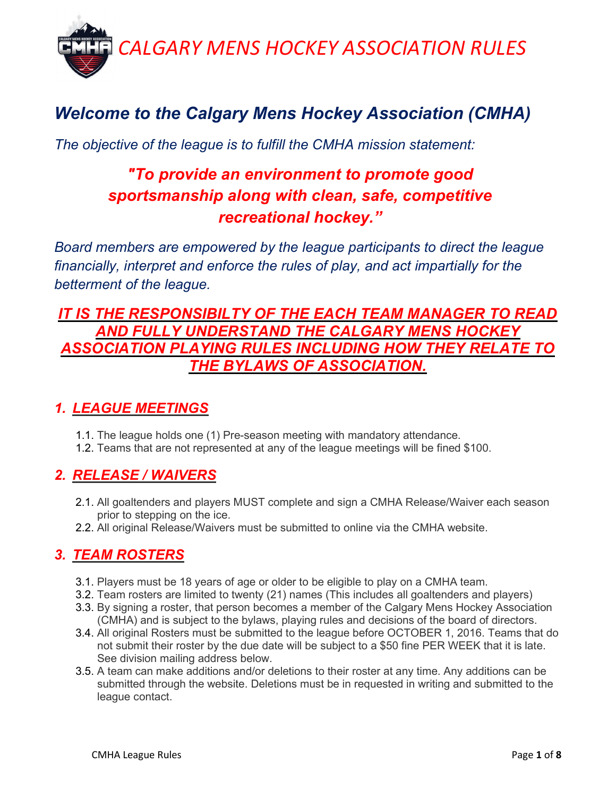

# Welcome to the Calgary Mens Hockey Association (CMHA)

The objective of the league is to fulfill the CMHA mission statement:

## "To provide an environment to promote good sportsmanship along with clean, safe, competitive recreational hockey."

Board members are empowered by the league participants to direct the league financially, interpret and enforce the rules of play, and act impartially for the betterment of the league.

### IT IS THE RESPONSIBILTY OF THE EACH TEAM MANAGER TO READ LY UNDERSTAND THE CALGARY MENS HOCKEY ASSOCIATION PLAYING RULES INCLUDING HOW THEY RELATE TO THE BYLAWS OF ASSOCIATION.

### 1. LEAGUE MEETINGS

- 1.1. The league holds one (1) Pre-season meeting with mandatory attendance.
- 1.2. Teams that are not represented at any of the league meetings will be fined \$100.

### 2. RELEASE / WAIVERS

- 2.1. All goaltenders and players MUST complete and sign a CMHA Release/Waiver each season prior to stepping on the ice.
- 2.2. All original Release/Waivers must be submitted to online via the CMHA website.

### 3. TEAM ROSTERS

- 3.1. Players must be 18 years of age or older to be eligible to play on a CMHA team.
- 3.2. Team rosters are limited to twenty (21) names (This includes all goaltenders and players)
- 3.3. By signing a roster, that person becomes a member of the Calgary Mens Hockey Association (CMHA) and is subject to the bylaws, playing rules and decisions of the board of directors.
- 3.4. All original Rosters must be submitted to the league before OCTOBER 1, 2016. Teams that do not submit their roster by the due date will be subject to a \$50 fine PER WEEK that it is late. See division mailing address below.
- 3.5. A team can make additions and/or deletions to their roster at any time. Any additions can be submitted through the website. Deletions must be in requested in writing and submitted to the league contact.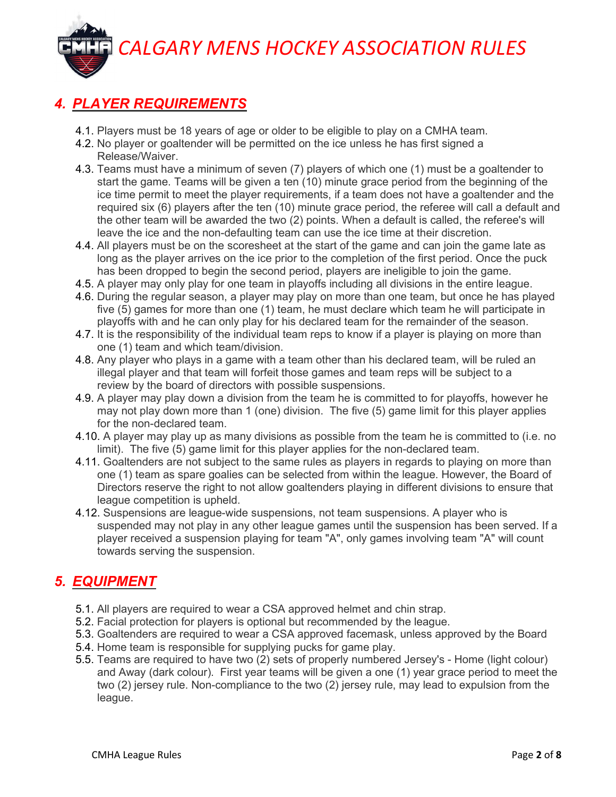### 4. PLAYER REQUIREMENTS

- 4.1. Players must be 18 years of age or older to be eligible to play on a CMHA team.
- 4.2. No player or goaltender will be permitted on the ice unless he has first signed a Release/Waiver.
- 4.3. Teams must have a minimum of seven (7) players of which one (1) must be a goaltender to start the game. Teams will be given a ten (10) minute grace period from the beginning of the ice time permit to meet the player requirements, if a team does not have a goaltender and the required six (6) players after the ten (10) minute grace period, the referee will call a default and the other team will be awarded the two (2) points. When a default is called, the referee's will leave the ice and the non-defaulting team can use the ice time at their discretion.
- 4.4. All players must be on the scoresheet at the start of the game and can join the game late as long as the player arrives on the ice prior to the completion of the first period. Once the puck has been dropped to begin the second period, players are ineligible to join the game.
- 4.5. A player may only play for one team in playoffs including all divisions in the entire league.
- 4.6. During the regular season, a player may play on more than one team, but once he has played five (5) games for more than one (1) team, he must declare which team he will participate in playoffs with and he can only play for his declared team for the remainder of the season.
- 4.7. It is the responsibility of the individual team reps to know if a player is playing on more than one (1) team and which team/division.
- 4.8. Any player who plays in a game with a team other than his declared team, will be ruled an illegal player and that team will forfeit those games and team reps will be subject to a review by the board of directors with possible suspensions.
- 4.9. A player may play down a division from the team he is committed to for playoffs, however he may not play down more than 1 (one) division. The five (5) game limit for this player applies for the non-declared team.
- 4.10. A player may play up as many divisions as possible from the team he is committed to (i.e. no limit). The five (5) game limit for this player applies for the non-declared team.
- 4.11. Goaltenders are not subject to the same rules as players in regards to playing on more than one (1) team as spare goalies can be selected from within the league. However, the Board of Directors reserve the right to not allow goaltenders playing in different divisions to ensure that league competition is upheld.
- 4.12. Suspensions are league-wide suspensions, not team suspensions. A player who is suspended may not play in any other league games until the suspension has been served. If a player received a suspension playing for team "A", only games involving team "A" will count towards serving the suspension.

### 5. EQUIPMENT

- 5.1. All players are required to wear a CSA approved helmet and chin strap.
- 5.2. Facial protection for players is optional but recommended by the league.
- 5.3. Goaltenders are required to wear a CSA approved facemask, unless approved by the Board
- 5.4. Home team is responsible for supplying pucks for game play.
- 5.5. Teams are required to have two (2) sets of properly numbered Jersey's Home (light colour) and Away (dark colour). First year teams will be given a one (1) year grace period to meet the two (2) jersey rule. Non-compliance to the two (2) jersey rule, may lead to expulsion from the league.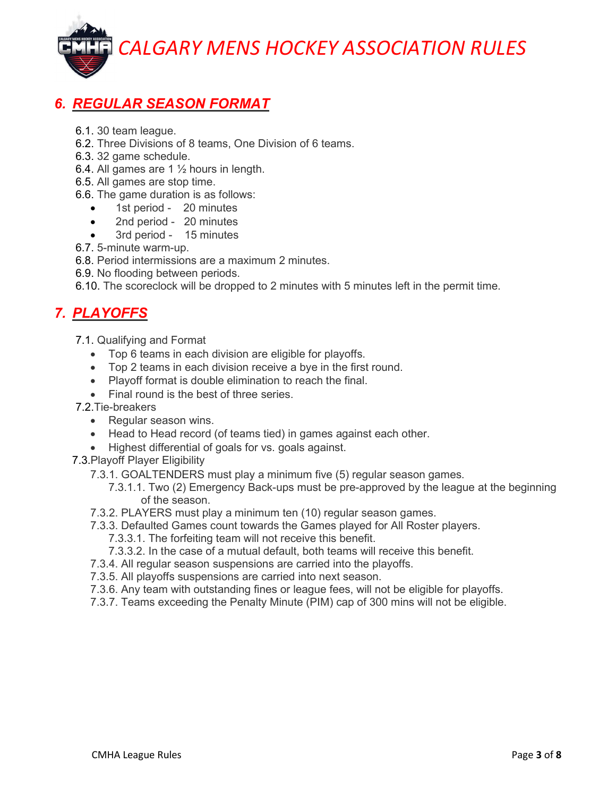### 6. REGULAR SEASON FORMAT

- 6.1. 30 team league.
- 6.2. Three Divisions of 8 teams, One Division of 6 teams.
- 6.3. 32 game schedule.
- 6.4. All games are 1 ½ hours in length.
- 6.5. All games are stop time.
- 6.6. The game duration is as follows:
	- 1st period 20 minutes
	- 2nd period 20 minutes
	- 3rd period 15 minutes
- 6.7. 5-minute warm-up.
- 6.8. Period intermissions are a maximum 2 minutes.
- 6.9. No flooding between periods.

6.10. The scoreclock will be dropped to 2 minutes with 5 minutes left in the permit time.

### 7. PLAYOFFS

- 7.1. Qualifying and Format
	- Top 6 teams in each division are eligible for playoffs.
	- Top 2 teams in each division receive a bye in the first round.
	- Playoff format is double elimination to reach the final.
	- Final round is the best of three series.
- 7.2.Tie-breakers
	- Regular season wins.
	- Head to Head record (of teams tied) in games against each other.
	- Highest differential of goals for vs. goals against.
- 7.3.Playoff Player Eligibility
	- 7.3.1. GOALTENDERS must play a minimum five (5) regular season games.
		- 7.3.1.1. Two (2) Emergency Back-ups must be pre-approved by the league at the beginning of the season.
	- 7.3.2. PLAYERS must play a minimum ten (10) regular season games.
	- 7.3.3. Defaulted Games count towards the Games played for All Roster players.
		- 7.3.3.1. The forfeiting team will not receive this benefit.
		- 7.3.3.2. In the case of a mutual default, both teams will receive this benefit.
	- 7.3.4. All regular season suspensions are carried into the playoffs.
	- 7.3.5. All playoffs suspensions are carried into next season.
	- 7.3.6. Any team with outstanding fines or league fees, will not be eligible for playoffs.
	- 7.3.7. Teams exceeding the Penalty Minute (PIM) cap of 300 mins will not be eligible.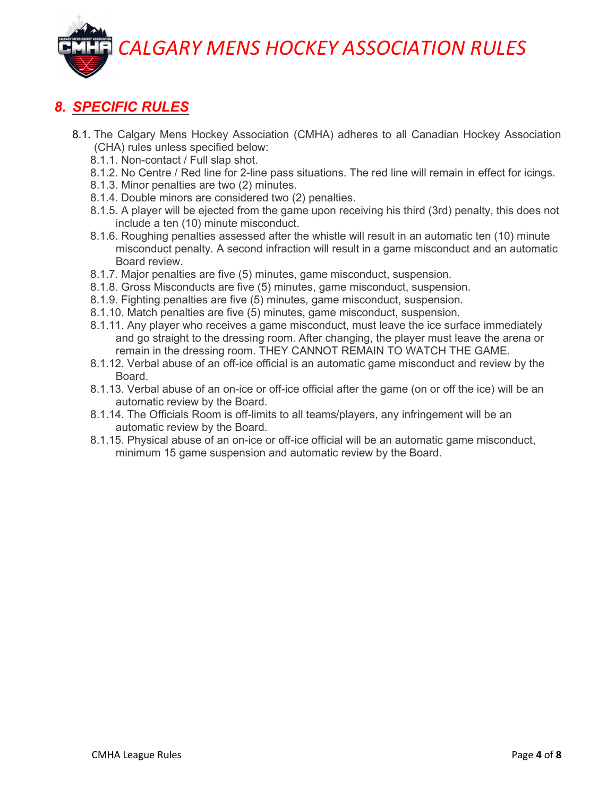#### 8. SPECIFIC RULES

- 8.1. The Calgary Mens Hockey Association (CMHA) adheres to all Canadian Hockey Association (CHA) rules unless specified below:
	- 8.1.1. Non-contact / Full slap shot.
	- 8.1.2. No Centre / Red line for 2-line pass situations. The red line will remain in effect for icings.
	- 8.1.3. Minor penalties are two (2) minutes.
	- 8.1.4. Double minors are considered two (2) penalties.
	- 8.1.5. A player will be ejected from the game upon receiving his third (3rd) penalty, this does not include a ten (10) minute misconduct.
	- 8.1.6. Roughing penalties assessed after the whistle will result in an automatic ten (10) minute misconduct penalty. A second infraction will result in a game misconduct and an automatic Board review.
	- 8.1.7. Major penalties are five (5) minutes, game misconduct, suspension.
	- 8.1.8. Gross Misconducts are five (5) minutes, game misconduct, suspension.
	- 8.1.9. Fighting penalties are five (5) minutes, game misconduct, suspension.
	- 8.1.10. Match penalties are five (5) minutes, game misconduct, suspension.
	- 8.1.11. Any player who receives a game misconduct, must leave the ice surface immediately and go straight to the dressing room. After changing, the player must leave the arena or remain in the dressing room. THEY CANNOT REMAIN TO WATCH THE GAME.
	- 8.1.12. Verbal abuse of an off-ice official is an automatic game misconduct and review by the Board.
	- 8.1.13. Verbal abuse of an on-ice or off-ice official after the game (on or off the ice) will be an automatic review by the Board.
	- 8.1.14. The Officials Room is off-limits to all teams/players, any infringement will be an automatic review by the Board.
	- 8.1.15. Physical abuse of an on-ice or off-ice official will be an automatic game misconduct, minimum 15 game suspension and automatic review by the Board.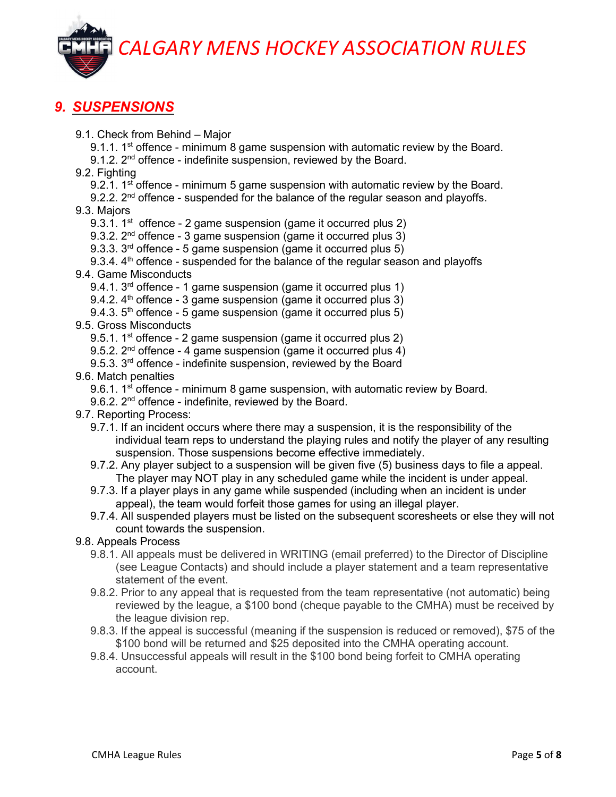#### 9. SUSPENSIONS

9.1. Check from Behind – Major

9.1.1. 1<sup>st</sup> offence - minimum 8 game suspension with automatic review by the Board.

9.1.2.  $2<sup>nd</sup>$  offence - indefinite suspension, reviewed by the Board.

9.2. Fighting

9.2.1. 1<sup>st</sup> offence - minimum 5 game suspension with automatic review by the Board.

9.2.2.  $2^{nd}$  offence - suspended for the balance of the regular season and playoffs. 9.3. Majors

9.3.1.  $1^{st}$  offence - 2 game suspension (game it occurred plus 2)

9.3.2. 2<sup>nd</sup> offence - 3 game suspension (game it occurred plus 3)

9.3.3. 3<sup>rd</sup> offence - 5 game suspension (game it occurred plus 5)

9.3.4.  $4<sup>th</sup>$  offence - suspended for the balance of the regular season and playoffs 9.4. Game Misconducts

9.4.1. 3<sup>rd</sup> offence - 1 game suspension (game it occurred plus 1)

- 9.4.2.  $4<sup>th</sup>$  offence 3 game suspension (game it occurred plus 3)
- 9.4.3.  $5<sup>th</sup>$  offence 5 game suspension (game it occurred plus 5)

9.5. Gross Misconducts

9.5.1.  $1^{st}$  offence - 2 game suspension (game it occurred plus 2)

9.5.2.  $2^{nd}$  offence - 4 game suspension (game it occurred plus 4)

9.5.3. 3<sup>rd</sup> offence - indefinite suspension, reviewed by the Board

9.6. Match penalties

9.6.1. 1<sup>st</sup> offence - minimum 8 game suspension, with automatic review by Board.

9.6.2. 2<sup>nd</sup> offence - indefinite, reviewed by the Board.

- 9.7. Reporting Process:
	- 9.7.1. If an incident occurs where there may a suspension, it is the responsibility of the individual team reps to understand the playing rules and notify the player of any resulting suspension. Those suspensions become effective immediately.
	- 9.7.2. Any player subject to a suspension will be given five (5) business days to file a appeal. The player may NOT play in any scheduled game while the incident is under appeal.
	- 9.7.3. If a player plays in any game while suspended (including when an incident is under appeal), the team would forfeit those games for using an illegal player.
	- 9.7.4. All suspended players must be listed on the subsequent scoresheets or else they will not count towards the suspension.

#### 9.8. Appeals Process

- 9.8.1. All appeals must be delivered in WRITING (email preferred) to the Director of Discipline (see League Contacts) and should include a player statement and a team representative statement of the event.
- 9.8.2. Prior to any appeal that is requested from the team representative (not automatic) being reviewed by the league, a \$100 bond (cheque payable to the CMHA) must be received by the league division rep.
- 9.8.3. If the appeal is successful (meaning if the suspension is reduced or removed), \$75 of the \$100 bond will be returned and \$25 deposited into the CMHA operating account.
- 9.8.4. Unsuccessful appeals will result in the \$100 bond being forfeit to CMHA operating account.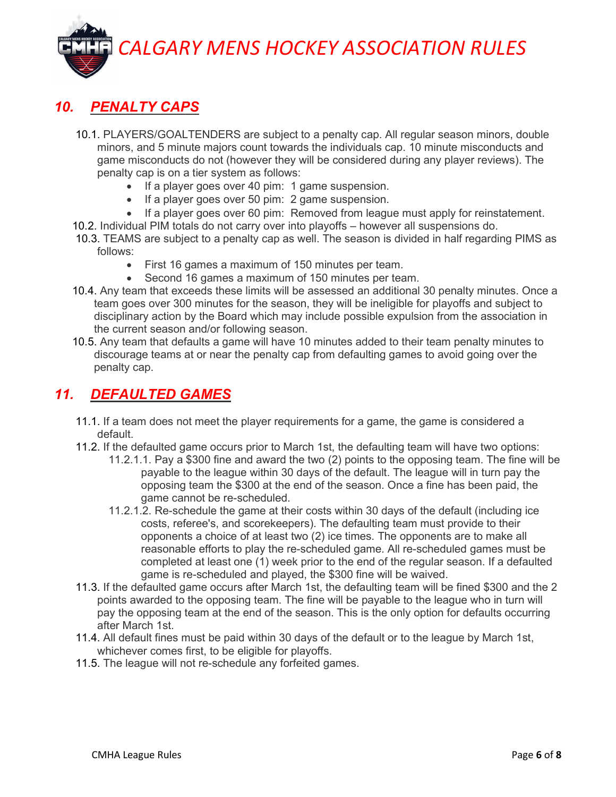#### 10. PENALTY CAPS

- 10.1. PLAYERS/GOALTENDERS are subject to a penalty cap. All regular season minors, double minors, and 5 minute majors count towards the individuals cap. 10 minute misconducts and game misconducts do not (however they will be considered during any player reviews). The penalty cap is on a tier system as follows:
	- If a player goes over 40 pim: 1 game suspension.
	- If a player goes over 50 pim: 2 game suspension.
	- If a player goes over 60 pim: Removed from league must apply for reinstatement.
- 10.2. Individual PIM totals do not carry over into playoffs however all suspensions do.
- 10.3. TEAMS are subject to a penalty cap as well. The season is divided in half regarding PIMS as follows:
	- First 16 games a maximum of 150 minutes per team.
	- Second 16 games a maximum of 150 minutes per team.
- 10.4. Any team that exceeds these limits will be assessed an additional 30 penalty minutes. Once a team goes over 300 minutes for the season, they will be ineligible for playoffs and subject to disciplinary action by the Board which may include possible expulsion from the association in the current season and/or following season.
- 10.5. Any team that defaults a game will have 10 minutes added to their team penalty minutes to discourage teams at or near the penalty cap from defaulting games to avoid going over the penalty cap.

#### 11. DEFAULTED GAMES

- 11.1. If a team does not meet the player requirements for a game, the game is considered a default.
- 11.2. If the defaulted game occurs prior to March 1st, the defaulting team will have two options:
	- 11.2.1.1. Pay a \$300 fine and award the two (2) points to the opposing team. The fine will be payable to the league within 30 days of the default. The league will in turn pay the opposing team the \$300 at the end of the season. Once a fine has been paid, the game cannot be re-scheduled.
	- 11.2.1.2. Re-schedule the game at their costs within 30 days of the default (including ice costs, referee's, and scorekeepers). The defaulting team must provide to their opponents a choice of at least two (2) ice times. The opponents are to make all reasonable efforts to play the re-scheduled game. All re-scheduled games must be completed at least one (1) week prior to the end of the regular season. If a defaulted game is re-scheduled and played, the \$300 fine will be waived.
- 11.3. If the defaulted game occurs after March 1st, the defaulting team will be fined \$300 and the 2 points awarded to the opposing team. The fine will be payable to the league who in turn will pay the opposing team at the end of the season. This is the only option for defaults occurring after March 1st.
- 11.4. All default fines must be paid within 30 days of the default or to the league by March 1st, whichever comes first, to be eligible for playoffs.
- 11.5. The league will not re-schedule any forfeited games.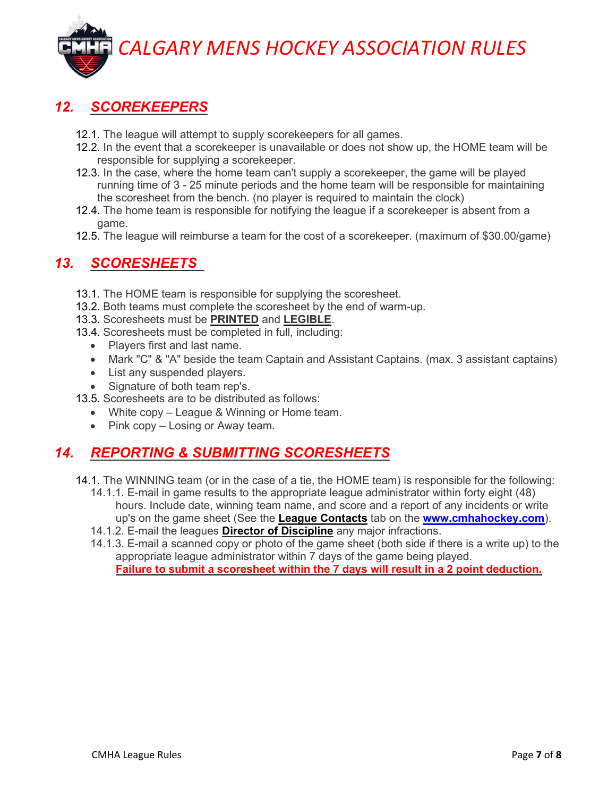### 12. SCOREKEEPERS

- 12.1. The league will attempt to supply scorekeepers for all games.
- 12.2. In the event that a scorekeeper is unavailable or does not show up, the HOME team will be responsible for supplying a scorekeeper.
- 12.3. In the case, where the home team can't supply a scorekeeper, the game will be played running time of 3 - 25 minute periods and the home team will be responsible for maintaining the scoresheet from the bench. (no player is required to maintain the clock)
- 12.4. The home team is responsible for notifying the league if a scorekeeper is absent from a game.
- 12.5. The league will reimburse a team for the cost of a scorekeeper. (maximum of \$30.00/game)

#### 13. SCORESHEETS

- 13.1. The HOME team is responsible for supplying the scoresheet.
- 13.2. Both teams must complete the scoresheet by the end of warm-up.
- 13.3. Scoresheets must be PRINTED and LEGIBLE.
- 13.4. Scoresheets must be completed in full, including:
	- Players first and last name.
	- Mark "C" & "A" beside the team Captain and Assistant Captains. (max. 3 assistant captains)
	- List any suspended players.
	- Signature of both team rep's.
- 13.5. Scoresheets are to be distributed as follows:
	- White copy League & Winning or Home team.
	- $\bullet$  Pink copy Losing or Away team.

#### 14. REPORTING & SUBMITTING SCORESHEETS

- 14.1. The WINNING team (or in the case of a tie, the HOME team) is responsible for the following:
	- 14.1.1. E-mail in game results to the appropriate league administrator within forty eight (48) hours. Include date, winning team name, and score and a report of any incidents or write up's on the game sheet (See the League Contacts tab on the www.cmhahockey.com).
	- 14.1.2. E-mail the leagues **Director of Discipline** any major infractions.
	- 14.1.3. E-mail a scanned copy or photo of the game sheet (both side if there is a write up) to the appropriate league administrator within 7 days of the game being played. Failure to submit a scoresheet within the 7 days will result in a 2 point deduction.